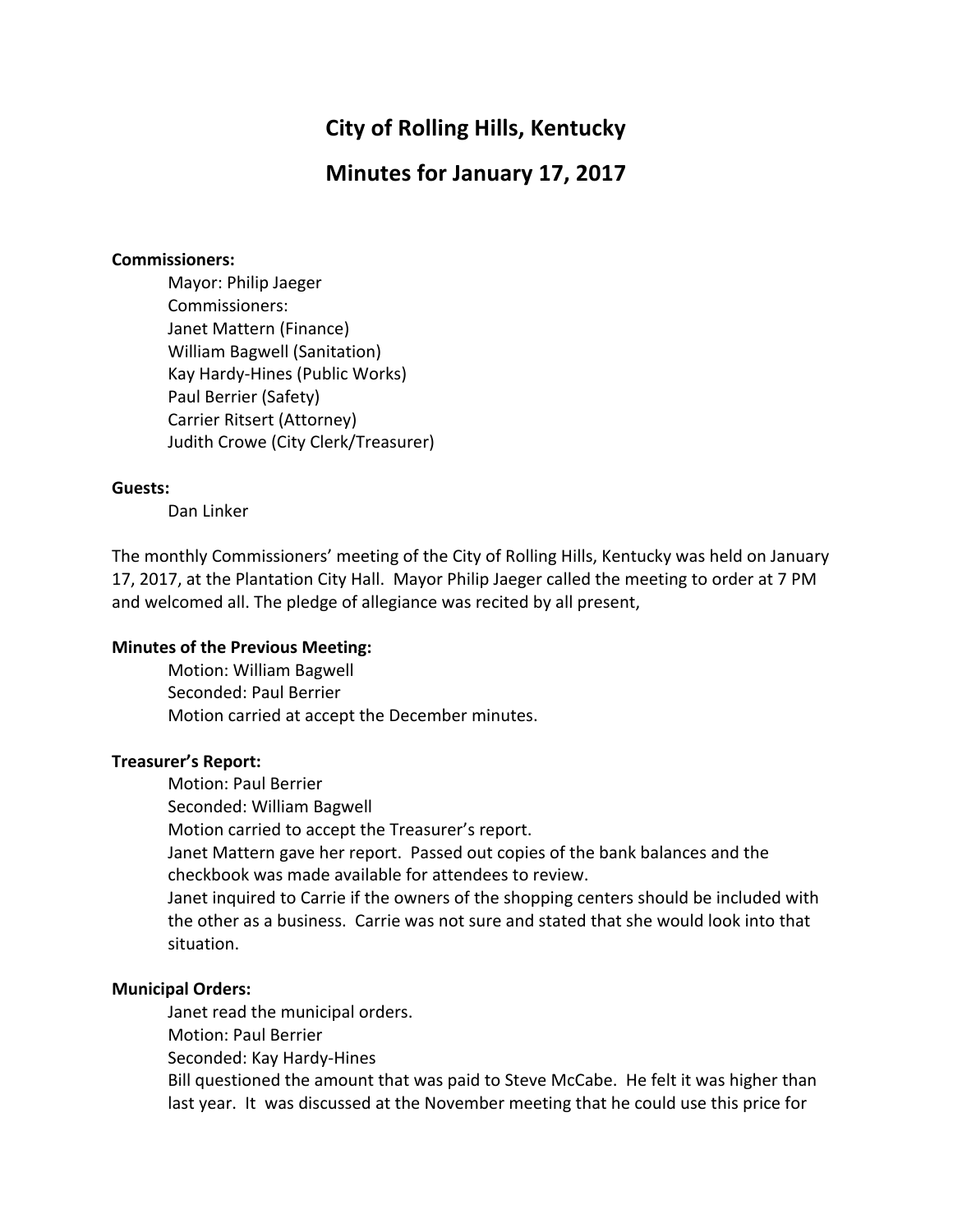# **City of Rolling Hills, Kentucky**

# **Minutes for January 17, 2017**

#### **Commissioners:**

Mayor: Philip Jaeger Commissioners: Janet Mattern (Finance) William Bagwell (Sanitation) Kay Hardy-Hines (Public Works) Paul Berrier (Safety) Carrier Ritsert (Attorney) Judith Crowe (City Clerk/Treasurer)

#### **Guests:**

Dan Linker

The monthly Commissioners' meeting of the City of Rolling Hills, Kentucky was held on January 17, 2017, at the Plantation City Hall. Mayor Philip Jaeger called the meeting to order at 7 PM and welcomed all. The pledge of allegiance was recited by all present,

#### **Minutes of the Previous Meeting:**

Motion: William Bagwell Seconded: Paul Berrier Motion carried at accept the December minutes.

#### **Treasurer's Report:**

Motion: Paul Berrier

Seconded: William Bagwell

Motion carried to accept the Treasurer's report.

Janet Mattern gave her report. Passed out copies of the bank balances and the checkbook was made available for attendees to review.

Janet inquired to Carrie if the owners of the shopping centers should be included with the other as a business. Carrie was not sure and stated that she would look into that situation.

#### **Municipal Orders:**

Janet read the municipal orders. Motion: Paul Berrier Seconded: Kay Hardy-Hines Bill questioned the amount that was paid to Steve McCabe. He felt it was higher than last year. It was discussed at the November meeting that he could use this price for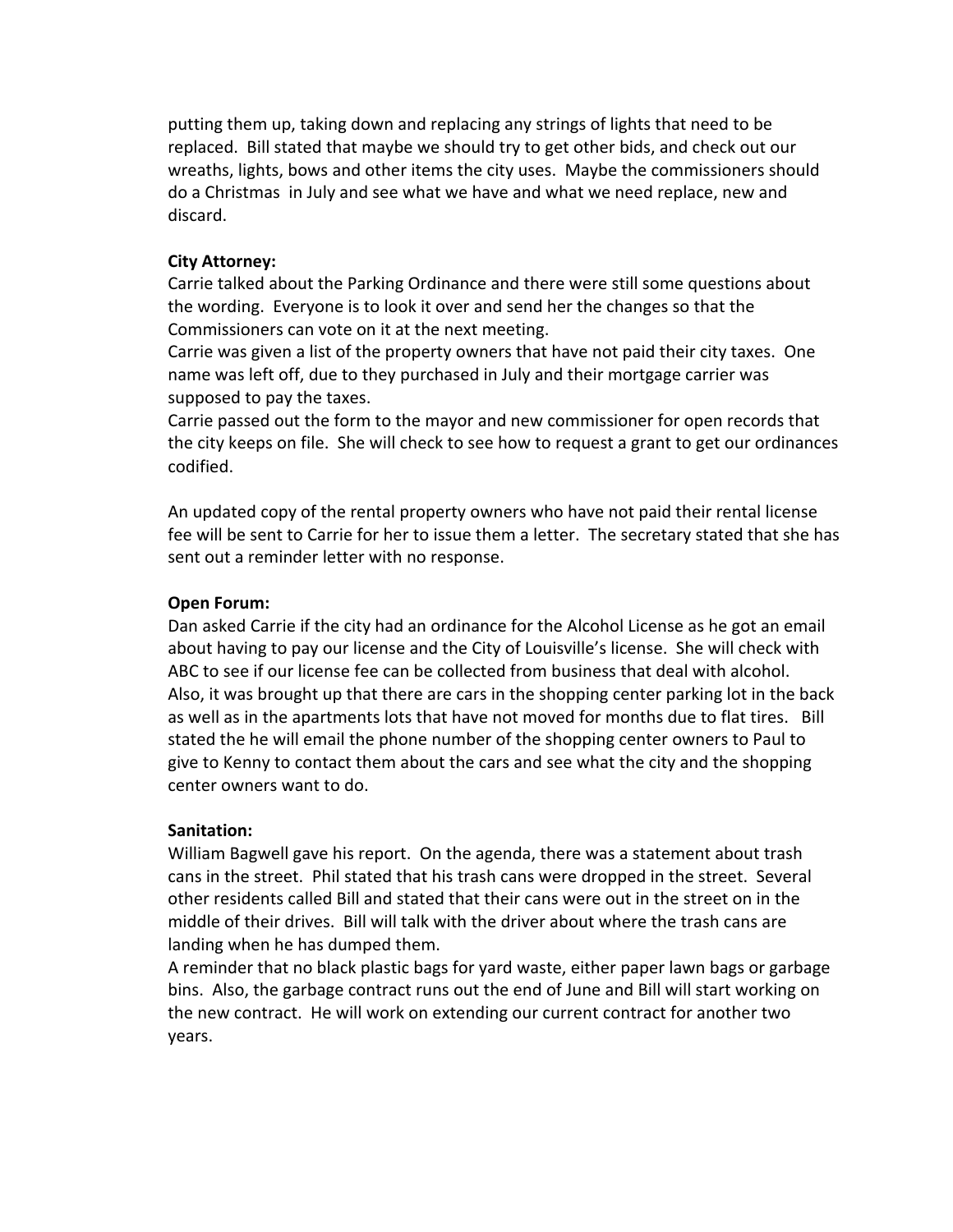putting them up, taking down and replacing any strings of lights that need to be replaced. Bill stated that maybe we should try to get other bids, and check out our wreaths, lights, bows and other items the city uses. Maybe the commissioners should do a Christmas in July and see what we have and what we need replace, new and discard. 

### **City Attorney:**

Carrie talked about the Parking Ordinance and there were still some questions about the wording. Everyone is to look it over and send her the changes so that the Commissioners can vote on it at the next meeting.

Carrie was given a list of the property owners that have not paid their city taxes. One name was left off, due to they purchased in July and their mortgage carrier was supposed to pay the taxes.

Carrie passed out the form to the mayor and new commissioner for open records that the city keeps on file. She will check to see how to request a grant to get our ordinances codified.

An updated copy of the rental property owners who have not paid their rental license fee will be sent to Carrie for her to issue them a letter. The secretary stated that she has sent out a reminder letter with no response.

### **Open Forum:**

Dan asked Carrie if the city had an ordinance for the Alcohol License as he got an email about having to pay our license and the City of Louisville's license. She will check with ABC to see if our license fee can be collected from business that deal with alcohol. Also, it was brought up that there are cars in the shopping center parking lot in the back as well as in the apartments lots that have not moved for months due to flat tires. Bill stated the he will email the phone number of the shopping center owners to Paul to give to Kenny to contact them about the cars and see what the city and the shopping center owners want to do.

## **Sanitation:**

William Bagwell gave his report. On the agenda, there was a statement about trash cans in the street. Phil stated that his trash cans were dropped in the street. Several other residents called Bill and stated that their cans were out in the street on in the middle of their drives. Bill will talk with the driver about where the trash cans are landing when he has dumped them.

A reminder that no black plastic bags for yard waste, either paper lawn bags or garbage bins. Also, the garbage contract runs out the end of June and Bill will start working on the new contract. He will work on extending our current contract for another two years.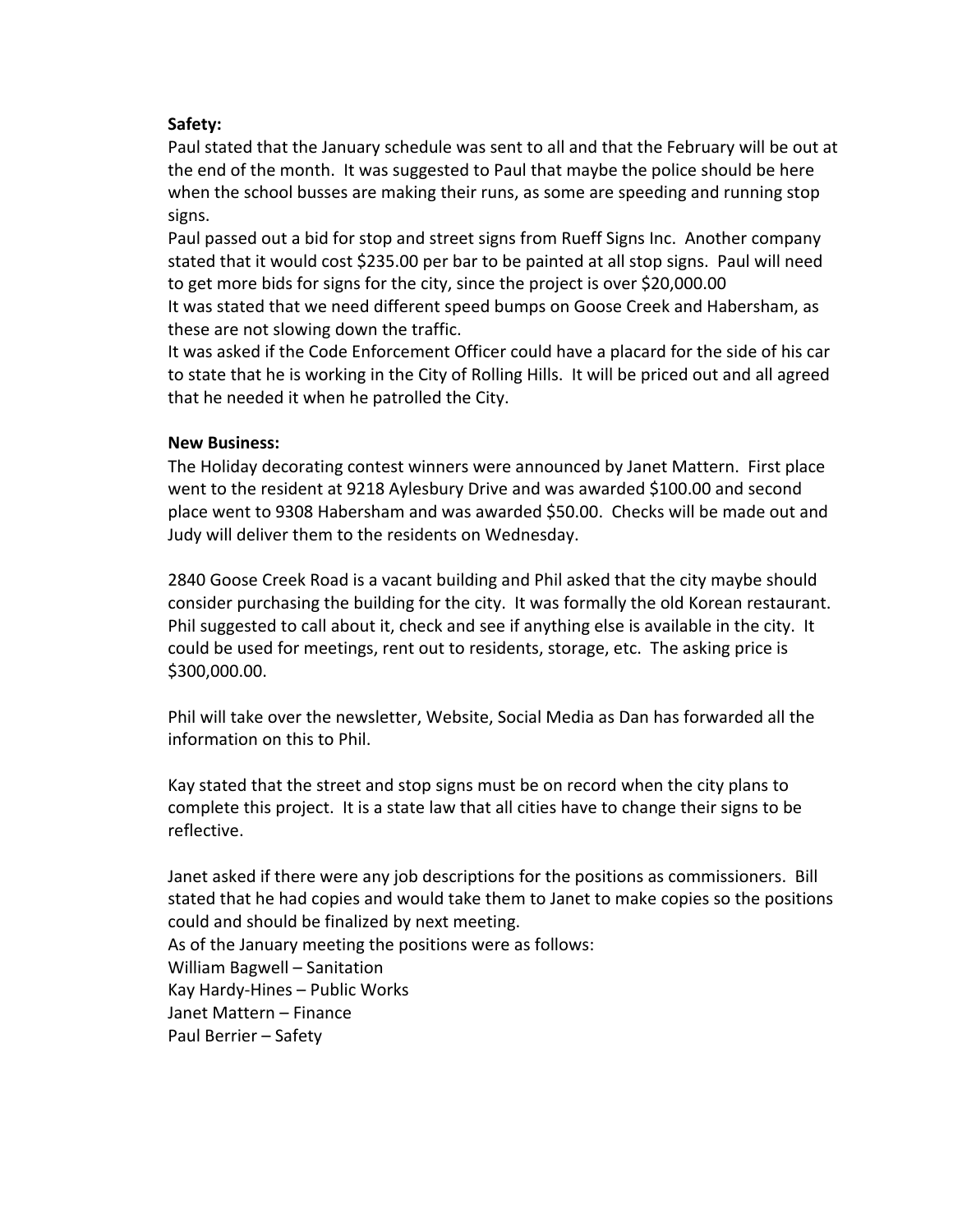## **Safety:**

Paul stated that the January schedule was sent to all and that the February will be out at the end of the month. It was suggested to Paul that maybe the police should be here when the school busses are making their runs, as some are speeding and running stop signs. 

Paul passed out a bid for stop and street signs from Rueff Signs Inc. Another company stated that it would cost \$235.00 per bar to be painted at all stop signs. Paul will need to get more bids for signs for the city, since the project is over \$20,000.00

It was stated that we need different speed bumps on Goose Creek and Habersham, as these are not slowing down the traffic.

It was asked if the Code Enforcement Officer could have a placard for the side of his car to state that he is working in the City of Rolling Hills. It will be priced out and all agreed that he needed it when he patrolled the City.

#### **New Business:**

The Holiday decorating contest winners were announced by Janet Mattern. First place went to the resident at 9218 Aylesbury Drive and was awarded \$100.00 and second place went to 9308 Habersham and was awarded \$50.00. Checks will be made out and Judy will deliver them to the residents on Wednesday.

2840 Goose Creek Road is a vacant building and Phil asked that the city maybe should consider purchasing the building for the city. It was formally the old Korean restaurant. Phil suggested to call about it, check and see if anything else is available in the city. It could be used for meetings, rent out to residents, storage, etc. The asking price is \$300,000.00. 

Phil will take over the newsletter, Website, Social Media as Dan has forwarded all the information on this to Phil.

Kay stated that the street and stop signs must be on record when the city plans to complete this project. It is a state law that all cities have to change their signs to be reflective. 

Janet asked if there were any job descriptions for the positions as commissioners. Bill stated that he had copies and would take them to Janet to make copies so the positions could and should be finalized by next meeting. As of the January meeting the positions were as follows: William Bagwell - Sanitation Kay Hardy-Hines – Public Works Janet Mattern – Finance Paul Berrier - Safety